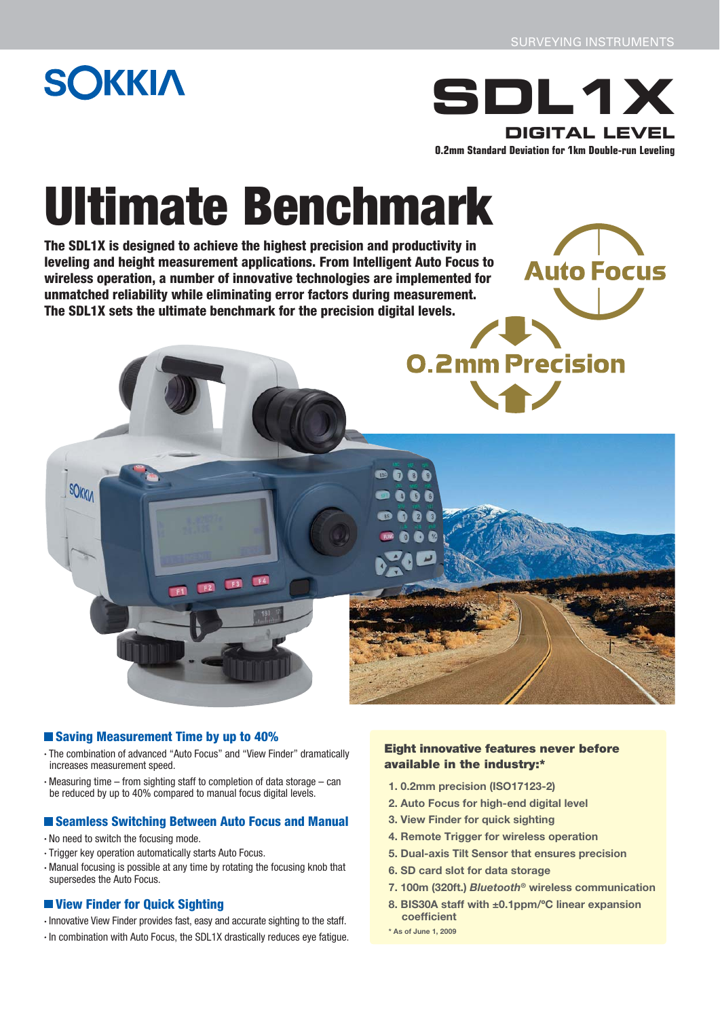**Auto Focus** 

# **SOKKIA**



# **Ultimate Benchmark**

**The SDL1X is designed to achieve the highest precision and productivity in leveling and height measurement applications. From Intelligent Auto Focus to wireless operation, a number of innovative technologies are implemented for unmatched reliability while eliminating error factors during measurement. The SDL1X sets the ultimate benchmark for the precision digital levels.**



**Saving Measurement Time by up to 40%**

**TET** 

- The combination of advanced "Auto Focus" and "View Finder" dramatically increases measurement speed.
- $\cdot$  Measuring time from sighting staff to completion of data storage can be reduced by up to 40% compared to manual focus digital levels.

### **Seamless Switching Between Auto Focus and Manual**

No need to switch the focusing mode.

SOKKIA

- Trigger key operation automatically starts Auto Focus.
- Manual focusing is possible at any time by rotating the focusing knob that supersedes the Auto Focus.

# **View Finder for Quick Sighting**

- $\cdot$  Innovative View Finder provides fast, easy and accurate sighting to the staff.
- $\cdot$  In combination with Auto Focus, the SDL1X drastically reduces eve fatigue.

# **Eight innovative features never before available in the industry:\***

- **1. 0.2mm precision (ISO17123-2)**
- **2. Auto Focus for high-end digital level**
- **3. View Finder for quick sighting**
- **4. Remote Trigger for wireless operation**
- **5. Dual-axis Tilt Sensor that ensures precision**
- **6. SD card slot for data storage**
- **7. 100m (320ft.)** *Bluetooth***® wireless communication**
- **8. BIS30A staff with ±0.1ppm/ºC linear expansion coefficient**
- **\* As of June 1, 2009**

 $\n **0**$